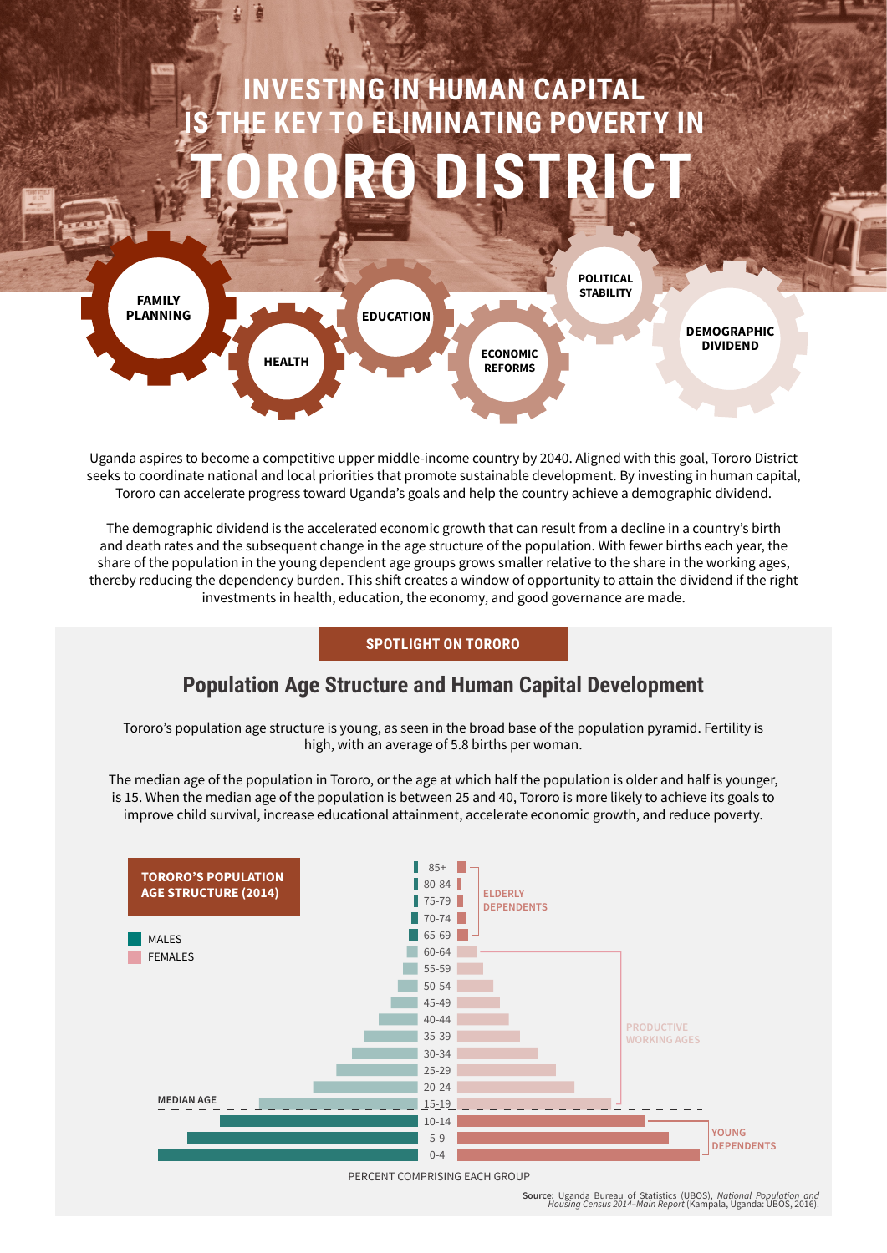# **ING IN HUMAN CAPITAL TO ELIMINATING POVERTY IN TORORO DISTRICT**



Uganda aspires to become a competitive upper middle-income country by 2040. Aligned with this goal, Tororo District seeks to coordinate national and local priorities that promote sustainable development. By investing in human capital, Tororo can accelerate progress toward Uganda's goals and help the country achieve a demographic dividend.

The demographic dividend is the accelerated economic growth that can result from a decline in a country's birth and death rates and the subsequent change in the age structure of the population. With fewer births each year, the share of the population in the young dependent age groups grows smaller relative to the share in the working ages, thereby reducing the dependency burden. This shift creates a window of opportunity to attain the dividend if the right investments in health, education, the economy, and good governance are made.

### **SPOTLIGHT ON TORORO**

### **Population Age Structure and Human Capital Development**

Tororo's population age structure is young, as seen in the broad base of the population pyramid. Fertility is high, with an average of 5.8 births per woman.

The median age of the population in Tororo, or the age at which half the population is older and half is younger, is 15. When the median age of the population is between 25 and 40, Tororo is more likely to achieve its goals to improve child survival, increase educational attainment, accelerate economic growth, and reduce poverty.



**Source:** Uganda Bureau of Statistics (UBOS), *National Population and Housing Census 2014–Main Report* (Kampala, Uganda: UBOS, 2016).